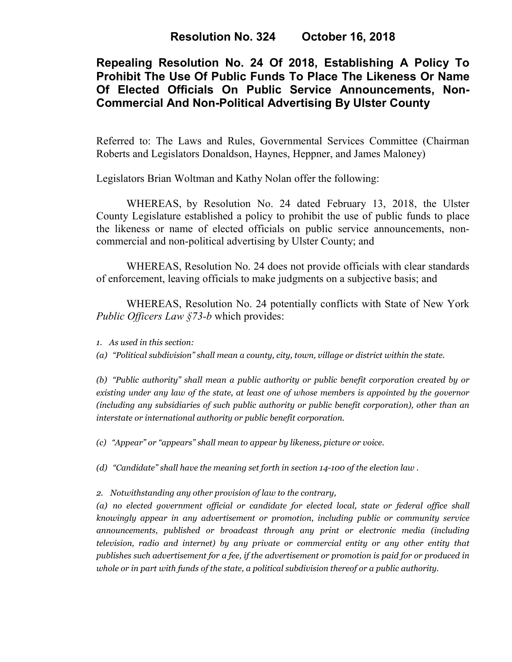**Resolution No. 324 October 16, 2018**

# **Repealing Resolution No. 24 Of 2018, Establishing A Policy To Prohibit The Use Of Public Funds To Place The Likeness Or Name Of Elected Officials On Public Service Announcements, Non-Commercial And Non-Political Advertising By Ulster County**

Referred to: The Laws and Rules, Governmental Services Committee (Chairman Roberts and Legislators Donaldson, Haynes, Heppner, and James Maloney)

Legislators Brian Woltman and Kathy Nolan offer the following:

WHEREAS, by Resolution No. 24 dated February 13, 2018, the Ulster County Legislature established a policy to prohibit the use of public funds to place the likeness or name of elected officials on public service announcements, noncommercial and non-political advertising by Ulster County; and

WHEREAS, Resolution No. 24 does not provide officials with clear standards of enforcement, leaving officials to make judgments on a subjective basis; and

WHEREAS, Resolution No. 24 potentially conflicts with State of New York *Public Officers Law §73-b* which provides:

*1. As used in this section:*

*(a) "Political subdivision" shall mean a county, city, town, village or district within the state.*

*(b) "Public authority" shall mean a public authority or public benefit corporation created by or existing under any law of the state, at least one of whose members is appointed by the governor (including any subsidiaries of such public authority or public benefit corporation), other than an interstate or international authority or public benefit corporation.*

*(c) "Appear" or "appears" shall mean to appear by likeness, picture or voice.*

*(d) "Candidate" shall have the meaning set forth in section 14-100 of the [election](https://1.next.westlaw.com/Link/Document/FullText?findType=L&originatingContext=document&transitionType=DocumentItem&pubNum=1000071&refType=LQ&originatingDoc=Ie36a1c20336e11e6b7a8d0af6f3578b5&cite=NYELS14-100) law .*

*2. Notwithstanding any other provision of law to the contrary,* 

*(a) no elected government official or candidate for elected local, state or federal office shall knowingly appear in any advertisement or promotion, including public or community service announcements, published or broadcast through any print or electronic media (including television, radio and internet) by any private or commercial entity or any other entity that publishes such advertisement for a fee, if the advertisement or promotion is paid for or produced in whole or in part with funds of the state, a political subdivision thereof or a public authority.*